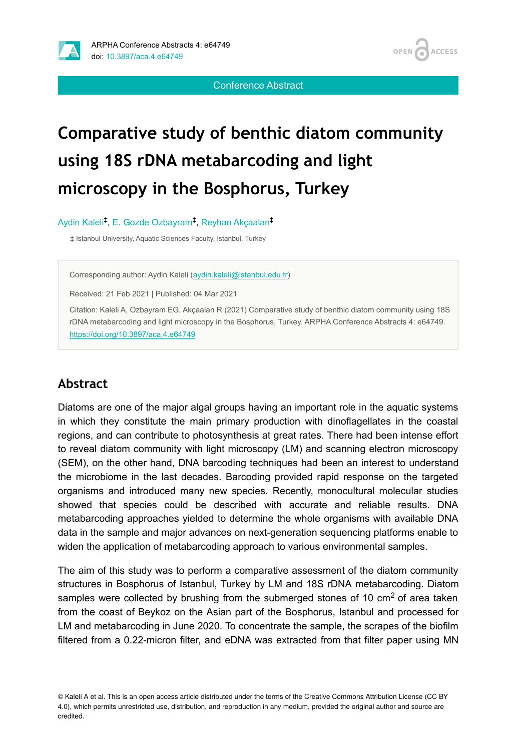

**ACCESS OPEN** 

Conference Abstract

# **Comparative study of benthic diatom community using 18S rDNA metabarcoding and light microscopy in the Bosphorus, Turkey**

Aydin Kaleli<sup>‡</sup>, E. Gozde Ozbayram<sup>‡</sup>, Reyhan Akçaalan<sup>‡</sup>

‡ Istanbul University, Aquatic Sciences Faculty, Istanbul, Turkey

Corresponding author: Aydin Kaleli ([aydin.kaleli@istanbul.edu.tr\)](mailto:aydin.kaleli@istanbul.edu.tr)

Received: 21 Feb 2021 | Published: 04 Mar 2021

Citation: Kaleli A, Ozbayram EG, Akçaalan R (2021) Comparative study of benthic diatom community using 18S rDNA metabarcoding and light microscopy in the Bosphorus, Turkey. ARPHA Conference Abstracts 4: e64749. <https://doi.org/10.3897/aca.4.e64749>

#### **Abstract**

Diatoms are one of the major algal groups having an important role in the aquatic systems in which they constitute the main primary production with dinoflagellates in the coastal regions, and can contribute to photosynthesis at great rates. There had been intense effort to reveal diatom community with light microscopy (LM) and scanning electron microscopy (SEM), on the other hand, DNA barcoding techniques had been an interest to understand the microbiome in the last decades. Barcoding provided rapid response on the targeted organisms and introduced many new species. Recently, monocultural molecular studies showed that species could be described with accurate and reliable results. DNA metabarcoding approaches yielded to determine the whole organisms with available DNA data in the sample and major advances on next-generation sequencing platforms enable to widen the application of metabarcoding approach to various environmental samples.

The aim of this study was to perform a comparative assessment of the diatom community structures in Bosphorus of Istanbul, Turkey by LM and 18S rDNA metabarcoding. Diatom samples were collected by brushing from the submerged stones of 10 cm<sup>2</sup> of area taken from the coast of Beykoz on the Asian part of the Bosphorus, Istanbul and processed for LM and metabarcoding in June 2020. To concentrate the sample, the scrapes of the biofilm filtered from a 0.22-micron filter, and eDNA was extracted from that filter paper using MN

<sup>©</sup> Kaleli A et al. This is an open access article distributed under the terms of the Creative Commons Attribution License (CC BY 4.0), which permits unrestricted use, distribution, and reproduction in any medium, provided the original author and source are credited.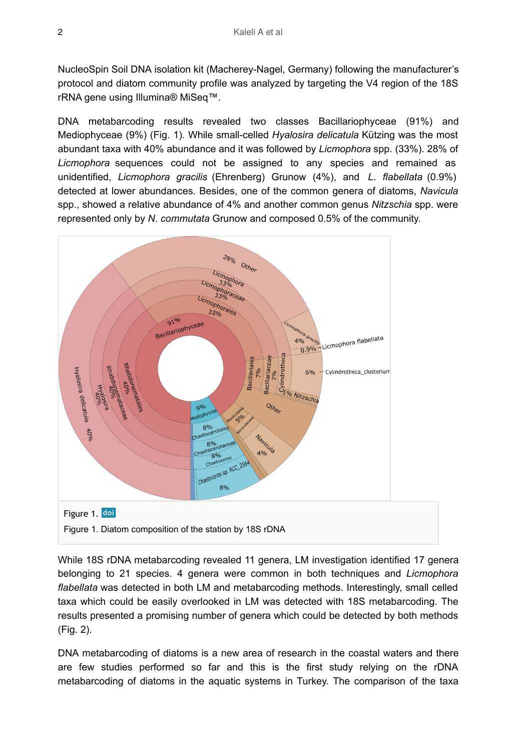NucleoSpin Soil DNA isolation kit (Macherey-Nagel, Germany) following the manufacturer's protocol and diatom community profile was analyzed by targeting the V4 region of the 18S rRNA gene using Illumina® MiSeq™.

DNA metabarcoding results revealed two classes Bacillariophyceae (91%) and Mediophyceae (9%) (Fig. 1). While small-celled *Hyalosira delicatula* Kützing was the most abundant taxa with 40% abundance and it was followed by *Licmophora* spp. (33%). 28% of *Licmophora* sequences could not be assigned to any species and remained as unidentified, *Licmophora gracilis* (Ehrenberg) Grunow (4%), and *L*. *flabellata* (0.9%) detected at lower abundances. Besides, one of the common genera of diatoms, *Navicula* spp., showed a relative abundance of 4% and another common genus *Nitzschia* spp. were represented only by *N*. *commutata* Grunow and composed 0.5% of the community.



While 18S rDNA metabarcoding revealed 11 genera, LM investigation identified 17 genera belonging to 21 species. 4 genera were common in both techniques and *Licmophora flabellata* was detected in both LM and metabarcoding methods. Interestingly, small celled taxa which could be easily overlooked in LM was detected with 18S metabarcoding. The results presented a promising number of genera which could be detected by both methods (Fig. 2).

DNA metabarcoding of diatoms is a new area of research in the coastal waters and there are few studies performed so far and this is the first study relying on the rDNA metabarcoding of diatoms in the aquatic systems in Turkey. The comparison of the taxa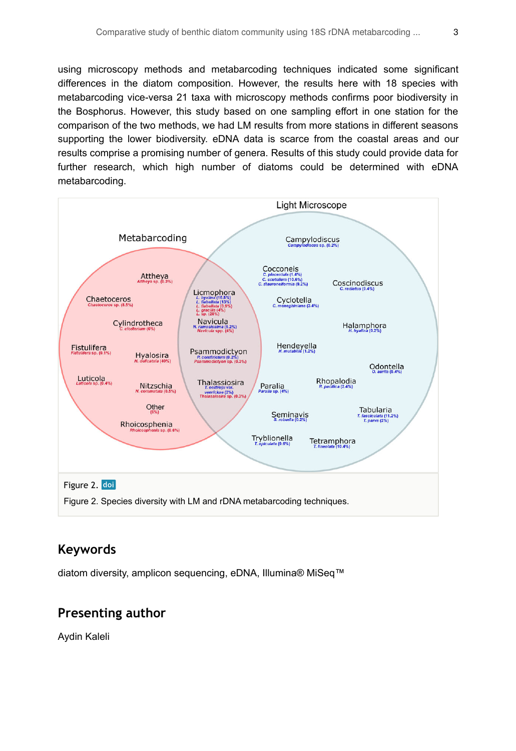using microscopy methods and metabarcoding techniques indicated some significant differences in the diatom composition. However, the results here with 18 species with metabarcoding vice-versa 21 taxa with microscopy methods confirms poor biodiversity in the Bosphorus. However, this study based on one sampling effort in one station for the comparison of the two methods, we had LM results from more stations in different seasons supporting the lower biodiversity. eDNA data is scarce from the coastal areas and our results comprise a promising number of genera. Results of this study could provide data for further research, which high number of diatoms could be determined with eDNA metabarcoding.



#### **Keywords**

diatom diversity, amplicon sequencing, eDNA, Illumina® MiSeq™

#### **Presenting author**

Aydin Kaleli